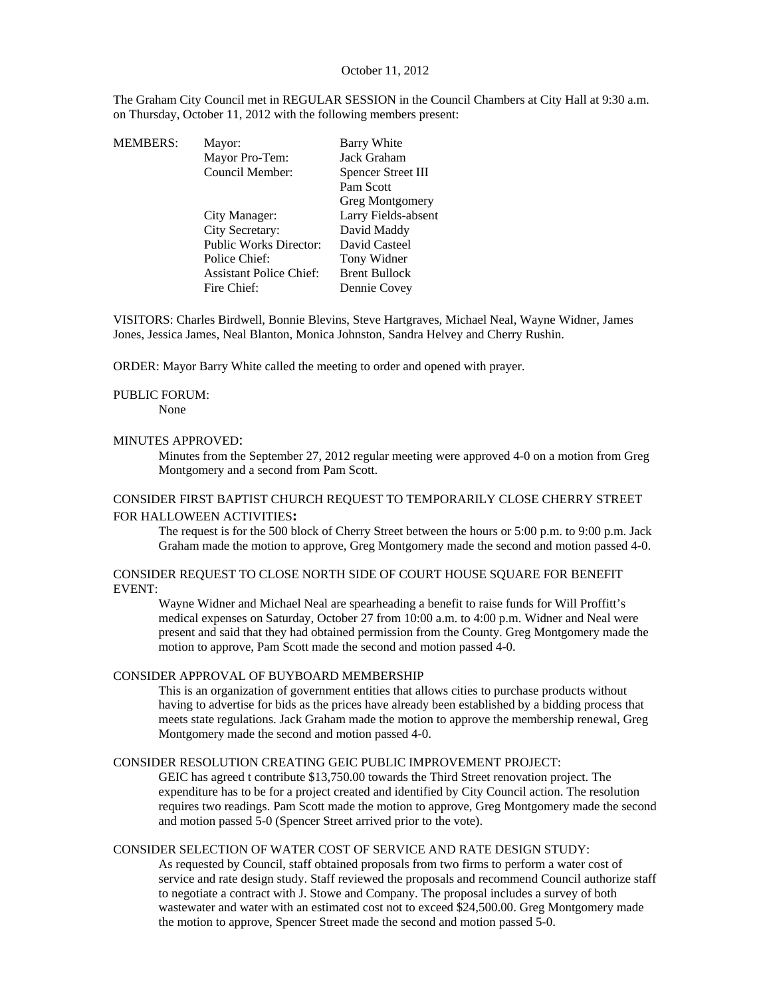### October 11, 2012

The Graham City Council met in REGULAR SESSION in the Council Chambers at City Hall at 9:30 a.m. on Thursday, October 11, 2012 with the following members present:

| <b>MEMBERS:</b> | Mayor:                         | Barry White          |
|-----------------|--------------------------------|----------------------|
|                 | Mayor Pro-Tem:                 | Jack Graham          |
|                 | Council Member:                | Spencer Street III   |
|                 |                                | Pam Scott            |
|                 |                                | Greg Montgomery      |
|                 | City Manager:                  | Larry Fields-absent  |
|                 | City Secretary:                | David Maddy          |
|                 | <b>Public Works Director:</b>  | David Casteel        |
|                 | Police Chief:                  | Tony Widner          |
|                 | <b>Assistant Police Chief:</b> | <b>Brent Bullock</b> |
|                 | Fire Chief:                    | Dennie Covey         |
|                 |                                |                      |

VISITORS: Charles Birdwell, Bonnie Blevins, Steve Hartgraves, Michael Neal, Wayne Widner, James Jones, Jessica James, Neal Blanton, Monica Johnston, Sandra Helvey and Cherry Rushin.

ORDER: Mayor Barry White called the meeting to order and opened with prayer.

#### PUBLIC FORUM:

None

#### MINUTES APPROVED:

Minutes from the September 27, 2012 regular meeting were approved 4-0 on a motion from Greg Montgomery and a second from Pam Scott.

# CONSIDER FIRST BAPTIST CHURCH REQUEST TO TEMPORARILY CLOSE CHERRY STREET FOR HALLOWEEN ACTIVITIES**:**

The request is for the 500 block of Cherry Street between the hours or 5:00 p.m. to 9:00 p.m. Jack Graham made the motion to approve, Greg Montgomery made the second and motion passed 4-0.

### CONSIDER REQUEST TO CLOSE NORTH SIDE OF COURT HOUSE SQUARE FOR BENEFIT EVENT:

Wayne Widner and Michael Neal are spearheading a benefit to raise funds for Will Proffitt's medical expenses on Saturday, October 27 from 10:00 a.m. to 4:00 p.m. Widner and Neal were present and said that they had obtained permission from the County. Greg Montgomery made the motion to approve, Pam Scott made the second and motion passed 4-0.

### CONSIDER APPROVAL OF BUYBOARD MEMBERSHIP

This is an organization of government entities that allows cities to purchase products without having to advertise for bids as the prices have already been established by a bidding process that meets state regulations. Jack Graham made the motion to approve the membership renewal, Greg Montgomery made the second and motion passed 4-0.

## CONSIDER RESOLUTION CREATING GEIC PUBLIC IMPROVEMENT PROJECT:

GEIC has agreed t contribute \$13,750.00 towards the Third Street renovation project. The expenditure has to be for a project created and identified by City Council action. The resolution requires two readings. Pam Scott made the motion to approve, Greg Montgomery made the second and motion passed 5-0 (Spencer Street arrived prior to the vote).

### CONSIDER SELECTION OF WATER COST OF SERVICE AND RATE DESIGN STUDY:

As requested by Council, staff obtained proposals from two firms to perform a water cost of service and rate design study. Staff reviewed the proposals and recommend Council authorize staff to negotiate a contract with J. Stowe and Company. The proposal includes a survey of both wastewater and water with an estimated cost not to exceed \$24,500.00. Greg Montgomery made the motion to approve, Spencer Street made the second and motion passed 5-0.